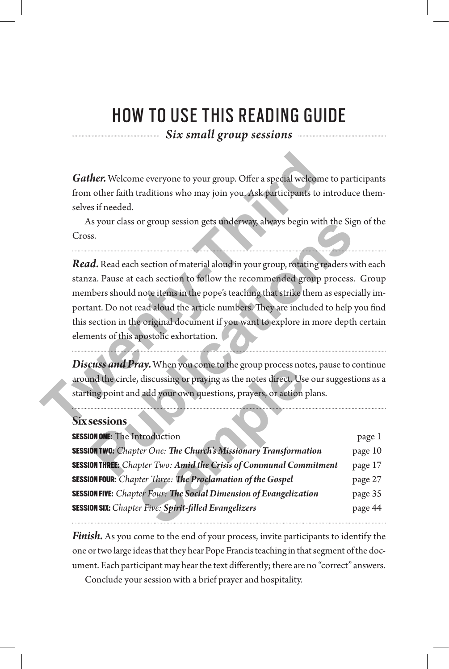# How to use this reading guide

*Six small group sessions*

Gather. Welcome everyone to your group. Offer a special welcome to participants from other faith traditions who may join you. Ask participants to introduce themselves if needed.

As your class or group session gets underway, always begin with the Sign of the Cross.

*Read.* Read each section of material aloud in your group, rotating readers with each stanza. Pause at each section to follow the recommended group process. Group members should note items in the pope's teaching that strike them as especially important. Do not read aloud the article numbers. They are included to help you find this section in the original document if you want to explore in more depth certain elements of this apostolic exhortation. **Gather.** Welcome everyone to your group. Offer a special welcome from other faith traditions who may join you. Ask participants to inferred for the serves if needed. As your class or group session gets underway, always be **Publication**<br> **Publication**<br> **Publication**<br> **Publication**<br> **Publication**<br> **Publication**<br> **Publication**<br> **Publication**<br> **Publication**<br> **Publication**<br> **Publication**<br> **Publication**<br> **Publication**<br> **Publication**<br> **Publication** 

*Discuss and Pray.* When you come to the group process notes, pause to continue around the circle, discussing or praying as the notes direct. Use our suggestions as a starting point and add your own questions, prayers, or action plans.

| <b>Discuss unu ET ay.</b> When you come to the group process hotes, pause to continue  |         |
|----------------------------------------------------------------------------------------|---------|
| around the circle, discussing or praying as the notes direct. Use our suggestions as a |         |
| starting point and add your own questions, prayers, or action plans.                   |         |
| <b>Six sessions</b>                                                                    |         |
| <b>SESSION ONE:</b> The Introduction                                                   | page 1  |
| <b>SESSION TWO:</b> Chapter One: The Church's Missionary Transformation                | page 10 |
| <b>SESSION THREE:</b> Chapter Two: Amid the Crisis of Communal Commitment              | page 17 |
| <b>SESSION FOUR:</b> Chapter Three: The Proclamation of the Gospel                     | page 27 |
| <b>SESSION FIVE:</b> Chapter Four: The Social Dimension of Evangelization              | page 35 |
| <b>SESSION SIX:</b> Chapter Five: Spirit-filled Evangelizers                           | page 44 |
|                                                                                        |         |

*Finish.* As you come to the end of your process, invite participants to identify the one or two large ideas that they hear Pope Francis teaching in that segment of the document. Each participant may hear the text differently; there are no "correct" answers.

Conclude your session with a brief prayer and hospitality.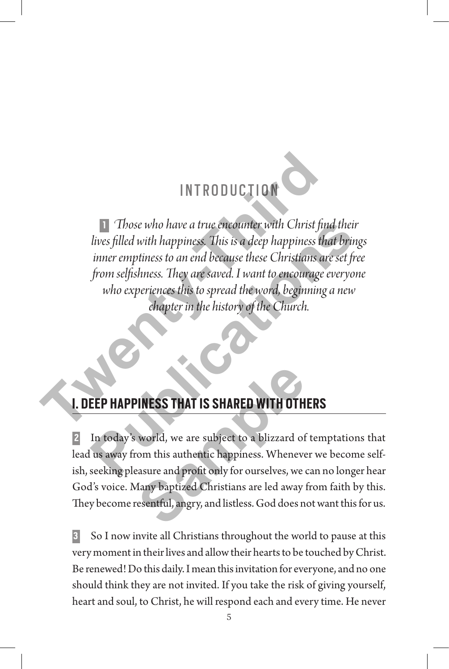# INtroduction

 **1** *Those who have a true encounter with Christ find their lives filled with happiness. This is a deep happiness that brings inner emptiness to an end because these Christians are set free from selfishness. They are saved. I want to encourage everyone who experiences this to spread the word, beginning a new chapter in the history of the Church.*  **Those who have a true encounter with Christ find lives filled with happiness. This is a deep happiness that inner emptiness to an end because these Christians are from selfishness. They are saved. I want to encourage expl** Those who have a true encounter with Christ find their<br>lives filled with happiness. This is a deep happiness that brings<br>inner emptiness to an end because these Christians are set free<br>from selfishness. They are saved. I w

## **I. Deep happiness that is shared with others**

In today's world, we are subject to a blizzard of temptations that lead us away from this authentic happiness. Whenever we become selfish, seeking pleasure and profit only for ourselves, we can no longer hear God's voice. Many baptized Christians are led away from faith by this. They become resentful, angry, and listless. God does not want this for us. **SECUTE: SHARED WITH OTH**<br>
World, we are subject to a blizzard of<br>
com this authentic happiness. Wheneve<br>
easure and profit only for ourselves, we of<br>
tany baptized Christians are led away if<br>
resentful, angry, and listles

 **3** So I now invite all Christians throughout the world to pause at this very moment in their lives and allow their hearts to be touched by Christ. Be renewed! Do this daily. I mean this invitation for everyone, and no one should think they are not invited. If you take the risk of giving yourself, heart and soul, to Christ, he will respond each and every time. He never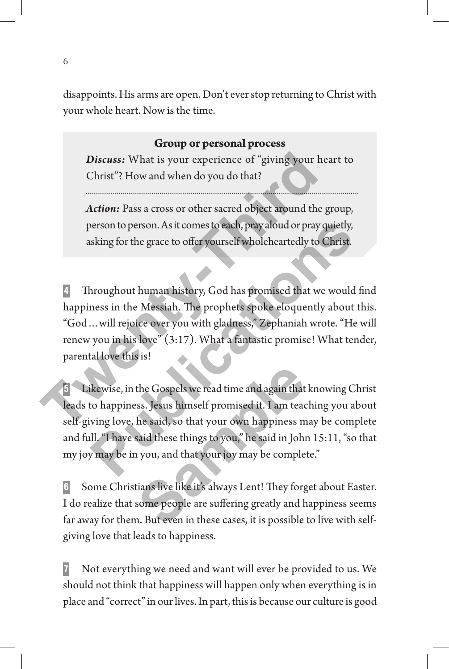disappoints. His arms are open. Don't ever stop returning to Christ with your whole heart. Now is the time.

**Group or personal process**

*Discuss:* What is your experience of "giving your heart to Christ"? How and when do you do that?

*Action:* Pass a cross or other sacred object around the group, person to person. As it comes to each, pray aloud or pray quietly, asking for the grace to offer yourself wholeheartedly to Christ.

Throughout human history, God has promised that we would find happiness in the Messiah. The prophets spoke eloquently about this. "God…will rejoice over you with gladness," Zephaniah wrote. "He will renew you in his love" (3:17). What a fantastic promise! What tender, parental love this is! **Discuss:** What is your experience of "giving your head Christ"? How and when do you do that?<br> **Action:** Pass a cross or other sacred object around the govern to person to sack of the state of the gradient of pray aloud or betwom to person. As it comes to each, pray aloud or pray quietly,<br>sking for the grace to offer yourself wholeheartedly to Christ.<br>hroughout human history, God has promised that we would fin<br>ness in the Messiah. The prophe

 **5** Likewise, in the Gospels we read time and again that knowing Christ leads to happiness. Jesus himself promised it. I am teaching you about self-giving love, he said, so that your own happiness may be complete and full. "I have said these things to you," he said in John 15:11, "so that my joy may be in you, and that your joy may be complete." the Gospels we read time and again that<br>ss. Jesus himself promised it. I am teac<br>he said, so that your own happiness m<br>said these things to you," he said in John<br>pou, and that your joy may be comple<br>tians live like it's al

 **6** Some Christians live like it's always Lent! They forget about Easter. I do realize that some people are suffering greatly and happiness seems far away for them. But even in these cases, it is possible to live with selfgiving love that leads to happiness.

 **7** Not everything we need and want will ever be provided to us. We should not think that happiness will happen only when everything is in place and "correct" in our lives. In part, this is because our culture is good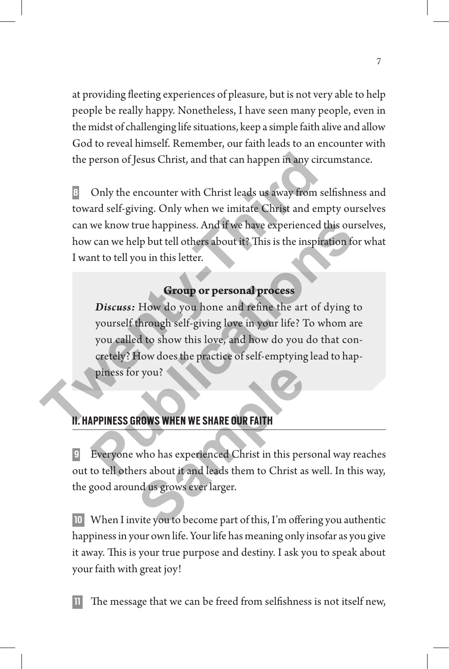at providing fleeting experiences of pleasure, but is not very able to help people be really happy. Nonetheless, I have seen many people, even in the midst of challenging life situations, keep a simple faith alive and allow God to reveal himself. Remember, our faith leads to an encounter with the person of Jesus Christ, and that can happen in any circumstance.

 **8** Only the encounter with Christ leads us away from selfishness and toward self-giving. Only when we imitate Christ and empty ourselves can we know true happiness. And if we have experienced this ourselves, how can we help but tell others about it? This is the inspiration for what I want to tell you in this letter. the person of Jesus Christ, and that can happen in any circu<br>
To Only the encounter with Christ leads us away from sel<br>
toward self-giving. Only when we imitate Christ and emp<br>
can we know true happiness. And if we have ex

#### **Group or personal process**

*Discuss:* How do you hone and refine the art of dying to yourself through self-giving love in your life? To whom are you called to show this love, and how do you do that concretely? How does the practice of self-emptying lead to happiness for you? We know true happiness. And if we have experienced this ourse<br>
Publication for v<br>
Publication for vertical order in this letter.<br> **Proup or personal process**<br> **Piscuss:** How do you hone and refine the art of dying to<br>
your

## **II. Happiness grows when we share our faith**

Everyone who has experienced Christ in this personal way reaches out to tell others about it and leads them to Christ as well. In this way, the good around us grows ever larger. **Sample 19 Set of the SHARE OUR FAITH**<br>
Samples WHEN WE SHARE OUR FAITH<br>
Samples about it and leads them to Christ as<br>
Samples and us grows ever larger.<br>
Samples you to become part of this, I'm offer

 **10** When I invite you to become part of this, I'm offering you authentic happiness in your own life. Your life has meaning only insofar as you give it away. This is your true purpose and destiny. I ask you to speak about your faith with great joy!

 **11** The message that we can be freed from selfishness is not itself new,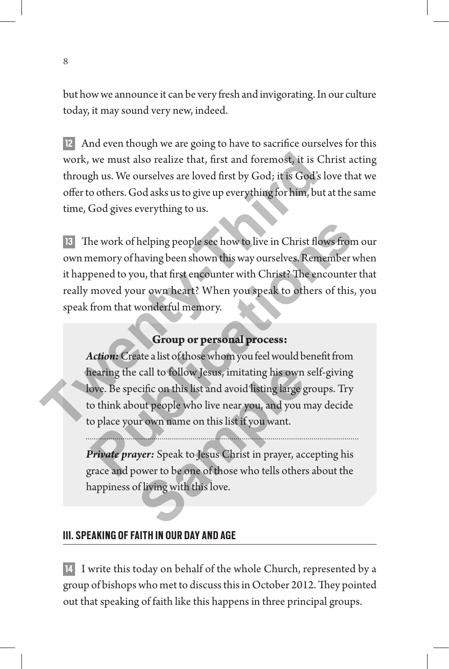but how we announce it can be very fresh and invigorating. In our culture today, it may sound very new, indeed.

 **12** And even though we are going to have to sacrifice ourselves for this work, we must also realize that, first and foremost, it is Christ acting through us. We ourselves are loved first by God; it is God's love that we offer to others. God asks us to give up everything for him, but at the same time, God gives everything to us.

 **13** The work of helping people see how to live in Christ flows from our own memory of having been shown this way ourselves. Remember when it happened to you, that first encounter with Christ? The encounter that really moved your own heart? When you speak to others of this, you speak from that wonderful memory. work, we must also realize that, first and foremost, it is Chip through us. We ourselves are loved first by God; it is God's lo<br>offer to others. God asks us to give up everything for him, but a<br>time, God gives everything t the work of helping people see how to live in Christ flows from o<br>nemory of having been shown this way ourselves. Remember whe<br>pened to you, that first encounter with Christ? The encounter th<br>moved your own heart? When you

#### **Group or personal process:**

*Action:* Create a list of those whom you feel would benefit from hearing the call to follow Jesus, imitating his own self-giving love. Be specific on this list and avoid listing large groups. Try to think about people who live near you, and you may decide to place your own name on this list if you want. call to follow Jesus, imitating his own<br>ecific on this list and avoid listing large g<br>out people who live near you, and you r<br>ur own name on this list if you want.<br>understanding with the search of those who tells others<br>ow

*Private prayer:* Speak to Jesus Christ in prayer, accepting his grace and power to be one of those who tells others about the happiness of living with this love.

#### **III. Speaking of faith in our day and age**

 **14** I write this today on behalf of the whole Church, represented by a group of bishops who met to discuss this in October 2012. They pointed out that speaking of faith like this happens in three principal groups.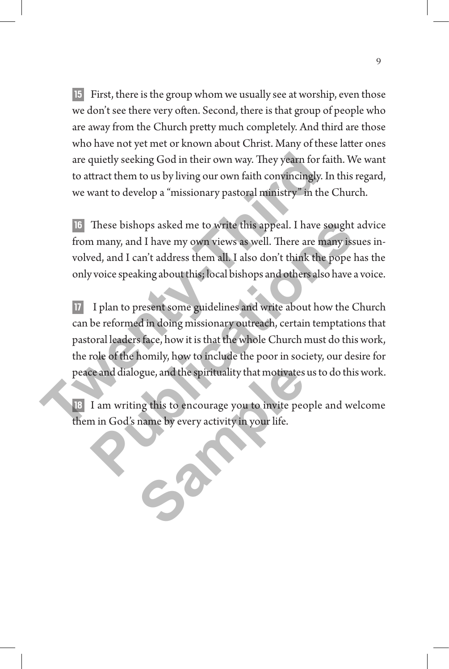**15** First, there is the group whom we usually see at worship, even those we don't see there very often. Second, there is that group of people who are away from the Church pretty much completely. And third are those who have not yet met or known about Christ. Many of these latter ones are quietly seeking God in their own way. They yearn for faith. We want to attract them to us by living our own faith convincingly. In this regard, we want to develop a "missionary pastoral ministry" in the Church.

 **16** These bishops asked me to write this appeal. I have sought advice from many, and I have my own views as well. There are many issues involved, and I can't address them all. I also don't think the pope has the only voice speaking about this; local bishops and others also have a voice.

I plan to present some guidelines and write about how the Church can be reformed in doing missionary outreach, certain temptations that pastoral leaders face, how it is that the whole Church must do this work, the role of the homily, how to include the poor in society, our desire for peace and dialogue, and the spirituality that motivates us to do this work. are quietly seeking God in their own way. They yearn for fail<br>to attract them to us by living our own faith convincingly. Ir<br>we want to develop a "missionary pastoral ministry" in the<br>16 These bishops asked me to write thi These bishops asked me to write this appeal. I have sought ad<br>n many, and I have my own views as well. There are many issue<br>red, and I can't address them all. I also don't think the pope has<br>voice speaking about this; loca

 **18** I am writing this to encourage you to invite people and welcome them in God's name by every activity in your life. by every activity that motivates and the spirituality that motivates and this to encourage you to invite pection<br>anne by every activity in your life.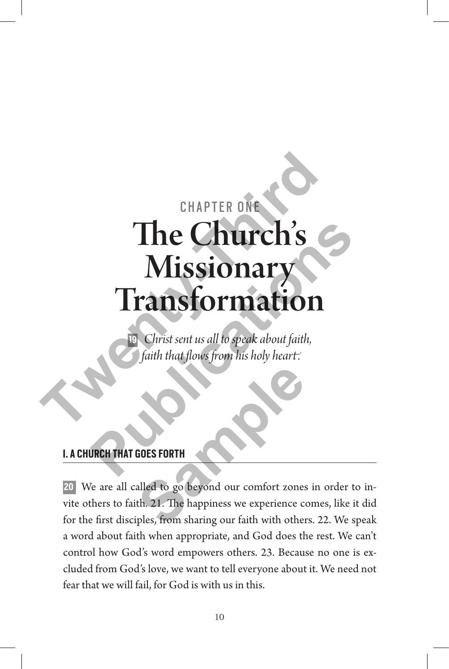# CHAPTER ONE The Churc Missionar Transformat **CHAPTER ONE**<br> **The Church's**<br> **Missionary<br>
Transformation The Church's Missionary**<br> **Publication Christ sent us all to speak about faith.**<br>
Faith that flows from his holy heart:

 **19** *Christ sent us all to speak about faith, faith that flows from his holy heart.*

#### **I. AChurch that goes forth**

 **20** We are all called to go beyond our comfort zones in order to invite others to faith. 21. The happiness we experience comes, like it did for the first disciples, from sharing our faith with others. 22. We speak a word about faith when appropriate, and God does the rest. We can't control how God's word empowers others. 23. Because no one is excluded from God's love, we want to tell everyone about it. We need not fear that we will fail, for God is with us in this. **GOES FORTH**<br> **SAMPLE SECONTRE**<br> **SAMPLE SECONDE SECONDE SUPERIOR**<br>
The appiness we experience corples, from sharing our faith with other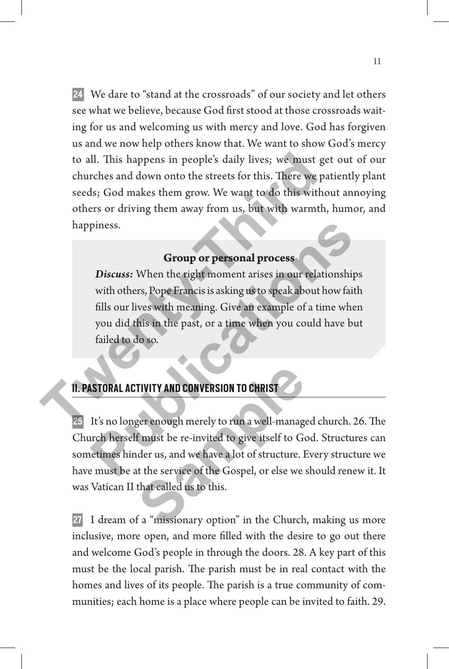**24** We dare to "stand at the crossroads" of our society and let others see what we believe, because God first stood at those crossroads waiting for us and welcoming us with mercy and love. God has forgiven us and we now help others know that. We want to show God's mercy to all. This happens in people's daily lives; we must get out of our churches and down onto the streets for this. There we patiently plant seeds; God makes them grow. We want to do this without annoying others or driving them away from us, but with warmth, humor, and happiness. to all. This happens in people's daily lives; we must get<br>churches and down onto the streets for this. There we pat<br>seeds; God makes them grow. We want to do this withou<br>others or driving them away from us, but with warmth

#### **Group or personal process**

*Discuss:* When the right moment arises in our relationships with others, Pope Francis is asking us to speak about how faith fills our lives with meaning. Give an example of a time when you did this in the past, or a time when you could have but failed to do so. **Publication**<br> **Publications Compare Space Space Space Space Space Space Space Space Space Space Space Space Space Space Space Space Space Space Space Space Space Space Space Space Space Space Space Space Space Space Space** 

#### **II. Pastoral activity and conversion to Christ**

 **25** It's no longer enough merely to run a well-managed church. 26. The Church herself must be re-invited to give itself to God. Structures can sometimes hinder us, and we have a lot of structure. Every structure we have must be at the service of the Gospel, or else we should renew it. It was Vatican II that called us to this. **TIVITY AND CONVERSION TO CHRIST**<br>ger enough merely to run a well-manage<br>f must be re-invited to give itself to Go<br>ider us, and we have a lot of structure. If<br>t the service of the Gospel, or else we s<br>that called us to thi

 **27** I dream of a "missionary option" in the Church, making us more inclusive, more open, and more filled with the desire to go out there and welcome God's people in through the doors. 28. A key part of this must be the local parish. The parish must be in real contact with the homes and lives of its people. The parish is a true community of communities; each home is a place where people can be invited to faith. 29.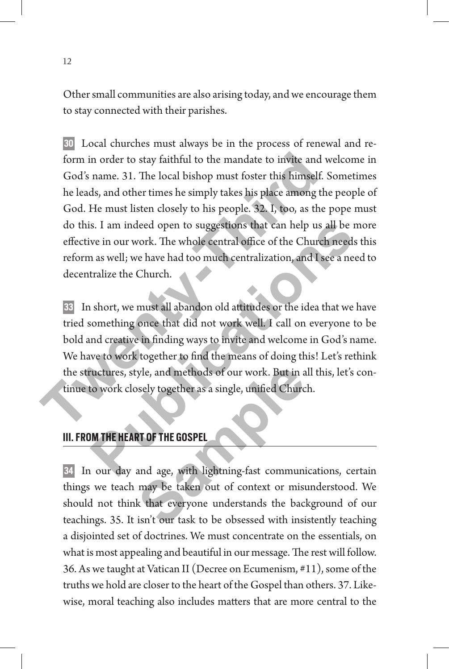Other small communities are also arising today, and we encourage them to stay connected with their parishes.

 **30** Local churches must always be in the process of renewal and reform in order to stay faithful to the mandate to invite and welcome in God's name. 31. The local bishop must foster this himself. Sometimes he leads, and other times he simply takes his place among the people of God. He must listen closely to his people. 32. I, too, as the pope must do this. I am indeed open to suggestions that can help us all be more effective in our work. The whole central office of the Church needs this reform as well; we have had too much centralization, and I see a need to decentralize the Church. form in order to stay faithful to the mandate to invite and w<br>God's name. 31. The local bishop must foster this himself. S<br>he leads, and other times he simply takes his place among the<br>God. He must listen closely to his pe

 **33** In short, we must all abandon old attitudes or the idea that we have tried something once that did not work well. I call on everyone to be bold and creative in finding ways to invite and welcome in God's name. We have to work together to find the means of doing this! Let's rethink the structures, style, and methods of our work. But in all this, let's continue to work closely together as a single, unified Church. **Publication Solution** Solution that the publicant set of the Church needs the as well; we have had too much centralization, and I see a need tralize the Church.<br>
A sawell; we have had too much centralization, and I see a

#### **III. From the heart of the Gospel**

 **34** In our day and age, with lightning-fast communications, certain things we teach may be taken out of context or misunderstood. We should not think that everyone understands the background of our teachings. 35. It isn't our task to be obsessed with insistently teaching a disjointed set of doctrines. We must concentrate on the essentials, on what is most appealing and beautiful in our message. The rest will follow. 36. As we taught at Vatican II (Decree on Ecumenism, #11), some of the truths we hold are closer to the heart of the Gospel than others. 37. Likewise, moral teaching also includes matters that are more central to the Fig. and methods of our work. But in a<br>
Sely together as a single, unified Churc<br> **RT OF THE GOSPEL**<br>
and age, with lightning-fast communi<br>
may be taken out of context or mist<br>
k that everyone understands the bacl<br>
isn't o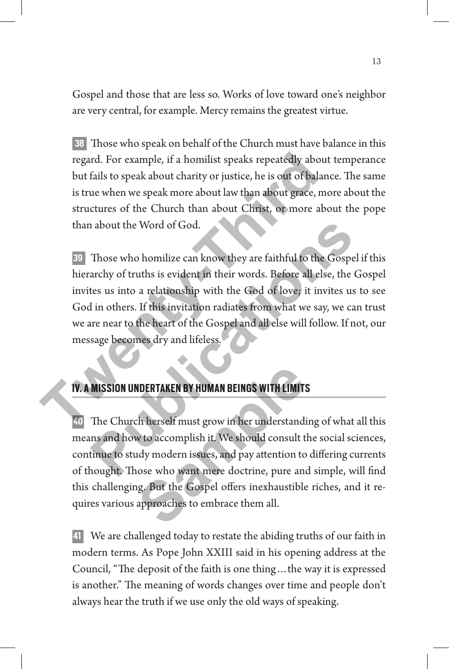Gospel and those that are less so. Works of love toward one's neighbor are very central, for example. Mercy remains the greatest virtue.

**38** Those who speak on behalf of the Church must have balance in this regard. For example, if a homilist speaks repeatedly about temperance but fails to speak about charity or justice, he is out of balance. The same is true when we speak more about law than about grace, more about the structures of the Church than about Christ, or more about the pope than about the Word of God.

 **39** Those who homilize can know they are faithful to the Gospel if this hierarchy of truths is evident in their words. Before all else, the Gospel invites us into a relationship with the God of love; it invites us to see God in others. If this invitation radiates from what we say, we can trust we are near to the heart of the Gospel and all else will follow. If not, our message becomes dry and lifeless. regard. For example, if a homilist speaks repeatedly about<br>but fails to speak about charity or justice, he is out of balance<br>is true when we speak more about law than about grace, mo<br>structures of the Church than about Chr **Propertional CONTERT ANCH CONDUCTER CONSUMBED INTO SERVIDE A Those who homilize can know they are faithful to the Gospel if archy of truths is evident in their words. Before all else, the Gospel is the sum of a relationsh** 

### **IV. A mission undertaken by human beings with limits**

 **40** The Church herself must grow in her understanding of what all this means and how to accomplish it. We should consult the social sciences, continue to study modern issues, and pay attention to differing currents of thought. Those who want mere doctrine, pure and simple, will find this challenging. But the Gospel offers inexhaustible riches, and it requires various approaches to embrace them all. **SIDERTAKEN BY HUMAN BEINGS WITH LIMITS**<br>
Shakes the pust grow in her understanding we to accomplish it. We should consult the understanding modern issues, and pay attention to toose who want mere doctrine, pure and all, B

 **41** We are challenged today to restate the abiding truths of our faith in modern terms. As Pope John XXIII said in his opening address at the Council, "The deposit of the faith is one thing…the way it is expressed is another." The meaning of words changes over time and people don't always hear the truth if we use only the old ways of speaking.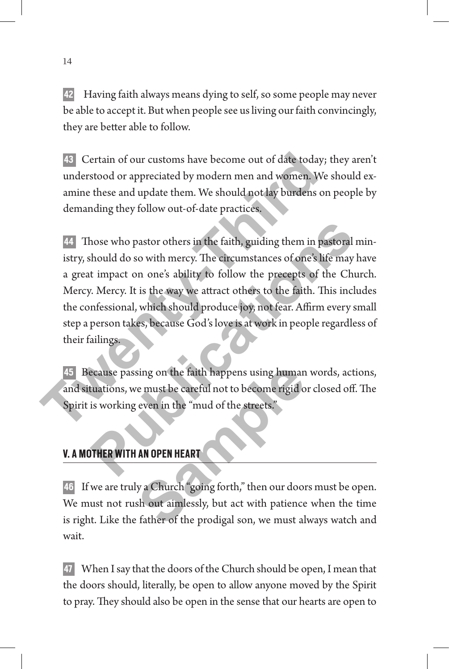**42** Having faith always means dying to self, so some people may never be able to accept it. But when people see us living our faith convincingly, they are better able to follow.

 **43** Certain of our customs have become out of date today; they aren't understood or appreciated by modern men and women. We should examine these and update them. We should not lay burdens on people by demanding they follow out-of-date practices.

 **44** Those who pastor others in the faith, guiding them in pastoral ministry, should do so with mercy. The circumstances of one's life may have a great impact on one's ability to follow the precepts of the Church. Mercy. Mercy. It is the way we attract others to the faith. This includes the confessional, which should produce joy, not fear. Affirm every small step a person takes, because God's love is at work in people regardless of their failings. 43 Certain of our customs have become out of date today;<br>
understood or appreciated by modern men and women. We<br>
amine these and update them. We should not lay burdens on<br>
demanding they follow out-of-date practices,<br>
44 T hose who pastor others in the faith, guiding them in pastoral mi<br>
should do so with mercy. The circumstances of one's life may had<br>
t impact on one's ability to follow the precepts of the Churc<br>
7. Mercy. It is the way we

 **45** Because passing on the faith happens using human words, actions, and situations, we must be careful not to become rigid or closed off. The Spirit is working even in the "mud of the streets."

#### **V. A mother with an open heart**

 **46** If we are truly a Church "going forth," then our doors must be open. We must not rush out aimlessly, but act with patience when the time is right. Like the father of the prodigal son, we must always watch and wait. Sing on the faith happens using human<br>
re must be careful not to become rigid of<br>
even in the "mud of the streets."<br> **AN OPEN HEART**<br> **SAM OPEN HEART**<br> **SAM OPEN HEART**<br> **SAM OPEN HEART**<br> **SAM OPEN HEART**<br> **SAM OPEN HEART** 

 **47** When I say that the doors of the Church should be open, I mean that the doors should, literally, be open to allow anyone moved by the Spirit to pray. They should also be open in the sense that our hearts are open to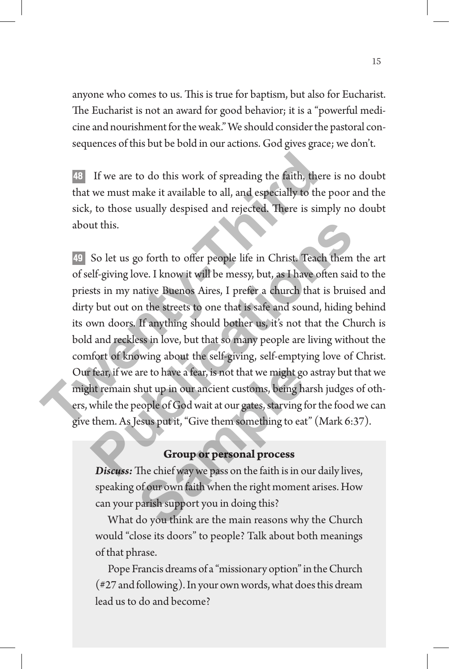anyone who comes to us. This is true for baptism, but also for Eucharist. The Eucharist is not an award for good behavior; it is a "powerful medicine and nourishment for the weak." We should consider the pastoral consequences of this but be bold in our actions. God gives grace; we don't.

 **48** If we are to do this work of spreading the faith, there is no doubt that we must make it available to all, and especially to the poor and the sick, to those usually despised and rejected. There is simply no doubt about this.

 **49** So let us go forth to offer people life in Christ. Teach them the art of self-giving love. I know it will be messy, but, as I have often said to the priests in my native Buenos Aires, I prefer a church that is bruised and dirty but out on the streets to one that is safe and sound, hiding behind its own doors. If anything should bother us, it's not that the Church is bold and reckless in love, but that so many people are living without the comfort of knowing about the self-giving, self-emptying love of Christ. Our fear, if we are to have a fear, is not that we might go astray but that we might remain shut up in our ancient customs, being harsh judges of others, while the people of God wait at our gates, starving for the food we can give them. As Jesus put it, "Give them something to eat" (Mark 6:37). **The axist of the set of the set of the set of the set of the set of the set of the set of those usually despised and rejected. There is simp about this.<br>
<b>The set of the set of the set of the set of the set of the set of** ut this.<br>
So let us go forth to offer people life in Christ. Teach them the<br>
elf-giving love. I know it will be messy, but, as I have often said to<br>
sts in my native Buenos Aires, I prefer a church that is bruised<br>
y but o are to have a fear, is not that we might go<br>shut up in our ancient customs, being ha<br>eople of God wait at our gates, starving f<br>esus put it, "Give them something to eat<br>**Group or personal process**<br>The chief way we pass on

#### **Group or personal process**

*Discuss:* The chief way we pass on the faith is in our daily lives, speaking of our own faith when the right moment arises. How can your parish support you in doing this?

What do you think are the main reasons why the Church would "close its doors" to people? Talk about both meanings of that phrase.

Pope Francis dreams of a "missionary option" in the Church (#27 and following). In your own words, what does this dream lead us to do and become?